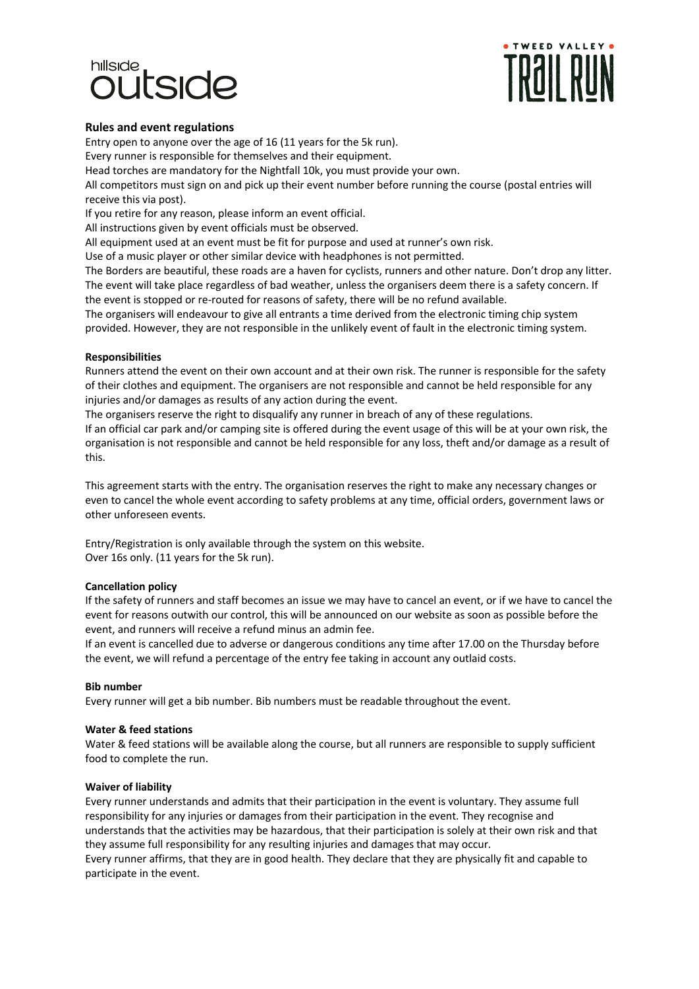# hillside **IFSIND**



## **Rules and event regulations**

Entry open to anyone over the age of 16 (11 years for the 5k run).

Every runner is responsible for themselves and their equipment.

Head torches are mandatory for the Nightfall 10k, you must provide your own.

All competitors must sign on and pick up their event number before running the course (postal entries will receive this via post).

If you retire for any reason, please inform an event official.

All instructions given by event officials must be observed.

All equipment used at an event must be fit for purpose and used at runner's own risk.

Use of a music player or other similar device with headphones is not permitted.

The Borders are beautiful, these roads are a haven for cyclists, runners and other nature. Don't drop any litter. The event will take place regardless of bad weather, unless the organisers deem there is a safety concern. If the event is stopped or re-routed for reasons of safety, there will be no refund available.

The organisers will endeavour to give all entrants a time derived from the electronic timing chip system provided. However, they are not responsible in the unlikely event of fault in the electronic timing system.

## **Responsibilities**

Runners attend the event on their own account and at their own risk. The runner is responsible for the safety of their clothes and equipment. The organisers are not responsible and cannot be held responsible for any injuries and/or damages as results of any action during the event.

The organisers reserve the right to disqualify any runner in breach of any of these regulations.

If an official car park and/or camping site is offered during the event usage of this will be at your own risk, the organisation is not responsible and cannot be held responsible for any loss, theft and/or damage as a result of this.

This agreement starts with the entry. The organisation reserves the right to make any necessary changes or even to cancel the whole event according to safety problems at any time, official orders, government laws or other unforeseen events.

Entry/Registration is only available through the system on this website. Over 16s only. (11 years for the 5k run).

# **Cancellation policy**

If the safety of runners and staff becomes an issue we may have to cancel an event, or if we have to cancel the event for reasons outwith our control, this will be announced on our website as soon as possible before the event, and runners will receive a refund minus an admin fee.

If an event is cancelled due to adverse or dangerous conditions any time after 17.00 on the Thursday before the event, we will refund a percentage of the entry fee taking in account any outlaid costs.

### **Bib number**

Every runner will get a bib number. Bib numbers must be readable throughout the event.

### **Water & feed stations**

Water & feed stations will be available along the course, but all runners are responsible to supply sufficient food to complete the run.

### **Waiver of liability**

Every runner understands and admits that their participation in the event is voluntary. They assume full responsibility for any injuries or damages from their participation in the event. They recognise and understands that the activities may be hazardous, that their participation is solely at their own risk and that they assume full responsibility for any resulting injuries and damages that may occur. Every runner affirms, that they are in good health. They declare that they are physically fit and capable to participate in the event.